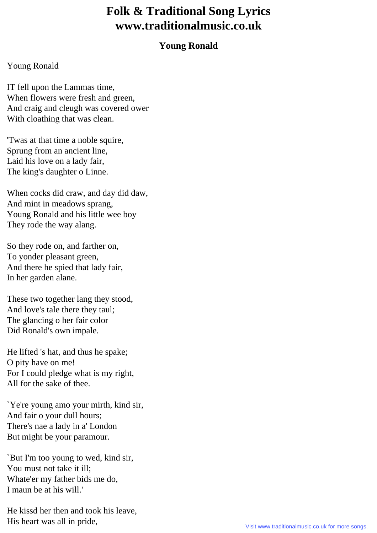## **Folk & Traditional Song Lyrics www.traditionalmusic.co.uk**

## **Young Ronald**

## Young Ronald

IT fell upon the Lammas time, When flowers were fresh and green, And craig and cleugh was covered ower With cloathing that was clean.

'Twas at that time a noble squire, Sprung from an ancient line, Laid his love on a lady fair, The king's daughter o Linne.

When cocks did craw, and day did daw, And mint in meadows sprang, Young Ronald and his little wee boy They rode the way alang.

So they rode on, and farther on, To yonder pleasant green, And there he spied that lady fair, In her garden alane.

These two together lang they stood, And love's tale there they taul; The glancing o her fair color Did Ronald's own impale.

He lifted 's hat, and thus he spake; O pity have on me! For I could pledge what is my right, All for the sake of thee.

`Ye're young amo your mirth, kind sir, And fair o your dull hours; There's nae a lady in a' London But might be your paramour.

`But I'm too young to wed, kind sir, You must not take it ill; Whate'er my father bids me do, I maun be at his will.'

He kissd her then and took his leave, His heart was all in pride,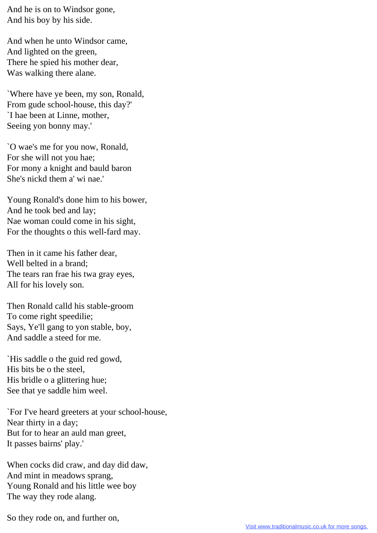And he is on to Windsor gone, And his boy by his side.

And when he unto Windsor came, And lighted on the green, There he spied his mother dear, Was walking there alane.

`Where have ye been, my son, Ronald, From gude school-house, this day?' `I hae been at Linne, mother, Seeing yon bonny may.'

`O wae's me for you now, Ronald, For she will not you hae; For mony a knight and bauld baron She's nickd them a' wi nae.'

Young Ronald's done him to his bower, And he took bed and lay; Nae woman could come in his sight, For the thoughts o this well-fard may.

Then in it came his father dear, Well belted in a brand; The tears ran frae his twa gray eyes, All for his lovely son.

Then Ronald calld his stable-groom To come right speedilie; Says, Ye'll gang to yon stable, boy, And saddle a steed for me.

`His saddle o the guid red gowd, His bits be o the steel, His bridle o a glittering hue; See that ye saddle him weel.

`For I've heard greeters at your school-house, Near thirty in a day; But for to hear an auld man greet, It passes bairns' play.'

When cocks did craw, and day did daw, And mint in meadows sprang, Young Ronald and his little wee boy The way they rode alang.

So they rode on, and further on,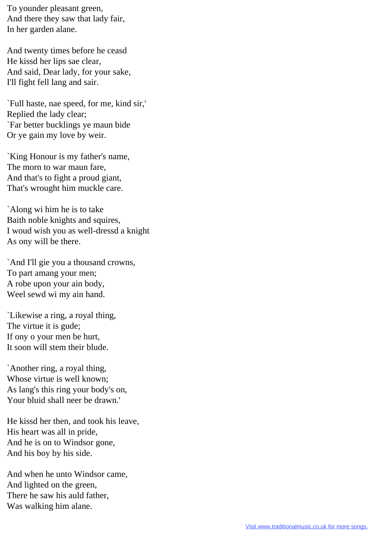To younder pleasant green, And there they saw that lady fair, In her garden alane.

And twenty times before he ceasd He kissd her lips sae clear, And said, Dear lady, for your sake, I'll fight fell lang and sair.

`Full haste, nae speed, for me, kind sir,' Replied the lady clear; `Far better bucklings ye maun bide Or ye gain my love by weir.

`King Honour is my father's name, The morn to war maun fare, And that's to fight a proud giant, That's wrought him muckle care.

`Along wi him he is to take Baith noble knights and squires, I woud wish you as well-dressd a knight As ony will be there.

`And I'll gie you a thousand crowns, To part amang your men; A robe upon your ain body, Weel sewd wi my ain hand.

`Likewise a ring, a royal thing, The virtue it is gude; If ony o your men be hurt, It soon will stem their blude.

`Another ring, a royal thing, Whose virtue is well known; As lang's this ring your body's on, Your bluid shall neer be drawn.'

He kissd her then, and took his leave, His heart was all in pride, And he is on to Windsor gone, And his boy by his side.

And when he unto Windsor came, And lighted on the green, There he saw his auld father, Was walking him alane.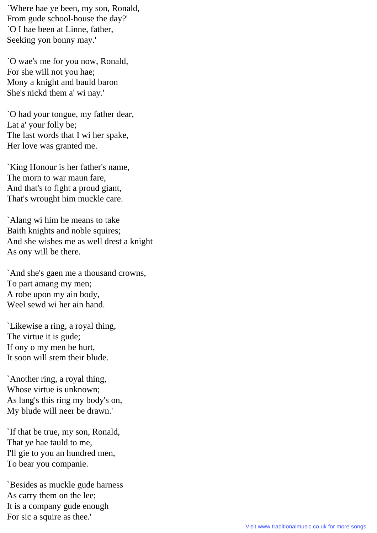`Where hae ye been, my son, Ronald, From gude school-house the day?' `O I hae been at Linne, father, Seeking yon bonny may.'

`O wae's me for you now, Ronald, For she will not you hae; Mony a knight and bauld baron She's nickd them a' wi nay.'

`O had your tongue, my father dear, Lat a' your folly be; The last words that I wi her spake, Her love was granted me.

`King Honour is her father's name, The morn to war maun fare, And that's to fight a proud giant, That's wrought him muckle care.

`Alang wi him he means to take Baith knights and noble squires; And she wishes me as well drest a knight As ony will be there.

`And she's gaen me a thousand crowns, To part amang my men; A robe upon my ain body, Weel sewd wi her ain hand.

`Likewise a ring, a royal thing, The virtue it is gude; If ony o my men be hurt, It soon will stem their blude.

`Another ring, a royal thing, Whose virtue is unknown; As lang's this ring my body's on, My blude will neer be drawn.'

`If that be true, my son, Ronald, That ye hae tauld to me, I'll gie to you an hundred men, To bear you companie.

`Besides as muckle gude harness As carry them on the lee; It is a company gude enough For sic a squire as thee.'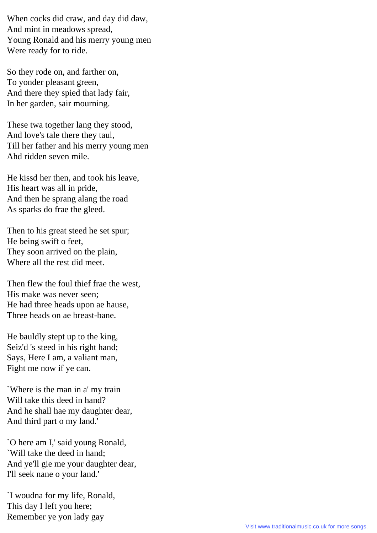When cocks did craw, and day did daw, And mint in meadows spread, Young Ronald and his merry young men Were ready for to ride.

So they rode on, and farther on, To yonder pleasant green, And there they spied that lady fair, In her garden, sair mourning.

These twa together lang they stood, And love's tale there they taul, Till her father and his merry young men Ahd ridden seven mile.

He kissd her then, and took his leave, His heart was all in pride, And then he sprang alang the road As sparks do frae the gleed.

Then to his great steed he set spur; He being swift o feet, They soon arrived on the plain, Where all the rest did meet.

Then flew the foul thief frae the west, His make was never seen; He had three heads upon ae hause, Three heads on ae breast-bane.

He bauldly stept up to the king, Seiz'd 's steed in his right hand; Says, Here I am, a valiant man, Fight me now if ye can.

`Where is the man in a' my train Will take this deed in hand? And he shall hae my daughter dear, And third part o my land.'

`O here am I,' said young Ronald, `Will take the deed in hand; And ye'll gie me your daughter dear, I'll seek nane o your land.'

`I woudna for my life, Ronald, This day I left you here; Remember ye yon lady gay